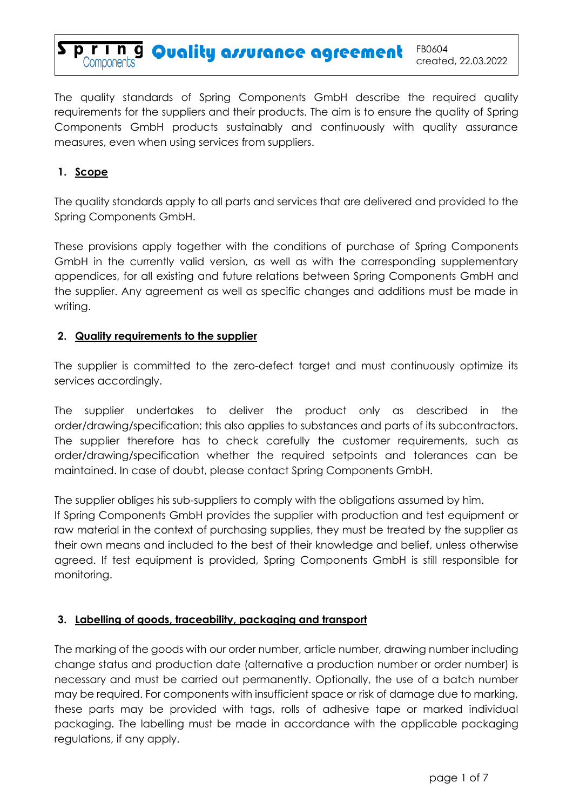

The quality standards of Spring Components GmbH describe the required quality requirements for the suppliers and their products. The aim is to ensure the quality of Spring Components GmbH products sustainably and continuously with quality assurance measures, even when using services from suppliers.

# **1. Scope**

The quality standards apply to all parts and services that are delivered and provided to the Spring Components GmbH.

These provisions apply together with the conditions of purchase of Spring Components GmbH in the currently valid version, as well as with the corresponding supplementary appendices, for all existing and future relations between Spring Components GmbH and the supplier. Any agreement as well as specific changes and additions must be made in writing.

### **2. Quality requirements to the supplier**

The supplier is committed to the zero-defect target and must continuously optimize its services accordingly.

The supplier undertakes to deliver the product only as described in the order/drawing/specification; this also applies to substances and parts of its subcontractors. The supplier therefore has to check carefully the customer requirements, such as order/drawing/specification whether the required setpoints and tolerances can be maintained. In case of doubt, please contact Spring Components GmbH.

The supplier obliges his sub-suppliers to comply with the obligations assumed by him.

If Spring Components GmbH provides the supplier with production and test equipment or raw material in the context of purchasing supplies, they must be treated by the supplier as their own means and included to the best of their knowledge and belief, unless otherwise agreed. If test equipment is provided, Spring Components GmbH is still responsible for monitoring.

## **3. Labelling of goods, traceability, packaging and transport**

The marking of the goods with our order number, article number, drawing number including change status and production date (alternative a production number or order number) is necessary and must be carried out permanently. Optionally, the use of a batch number may be required. For components with insufficient space or risk of damage due to marking, these parts may be provided with tags, rolls of adhesive tape or marked individual packaging. The labelling must be made in accordance with the applicable packaging regulations, if any apply.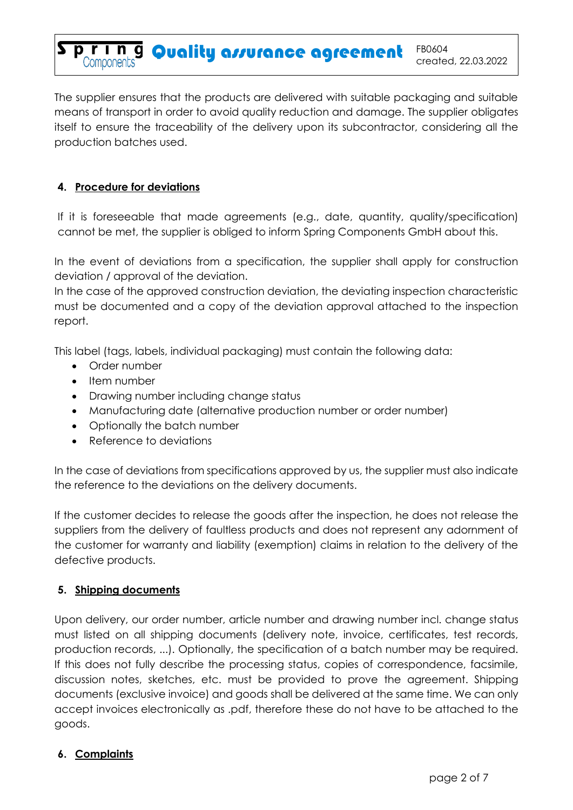**P. T. I. N. 9 Quality assurance agreement** FB0604

The supplier ensures that the products are delivered with suitable packaging and suitable means of transport in order to avoid quality reduction and damage. The supplier obligates itself to ensure the traceability of the delivery upon its subcontractor, considering all the production batches used.

# **4. Procedure for deviations**

If it is foreseeable that made agreements (e.g., date, quantity, quality/specification) cannot be met, the supplier is obliged to inform Spring Components GmbH about this.

In the event of deviations from a specification, the supplier shall apply for construction deviation / approval of the deviation.

In the case of the approved construction deviation, the deviating inspection characteristic must be documented and a copy of the deviation approval attached to the inspection report.

This label (tags, labels, individual packaging) must contain the following data:

- Order number
- Item number
- Drawing number including change status
- Manufacturing date (alternative production number or order number)
- Optionally the batch number
- Reference to deviations

In the case of deviations from specifications approved by us, the supplier must also indicate the reference to the deviations on the delivery documents.

If the customer decides to release the goods after the inspection, he does not release the suppliers from the delivery of faultless products and does not represent any adornment of the customer for warranty and liability (exemption) claims in relation to the delivery of the defective products.

## **5. Shipping documents**

Upon delivery, our order number, article number and drawing number incl. change status must listed on all shipping documents (delivery note, invoice, certificates, test records, production records, ...). Optionally, the specification of a batch number may be required. If this does not fully describe the processing status, copies of correspondence, facsimile, discussion notes, sketches, etc. must be provided to prove the agreement. Shipping documents (exclusive invoice) and goods shall be delivered at the same time. We can only accept invoices electronically as .pdf, therefore these do not have to be attached to the goods.

## **6. Complaints**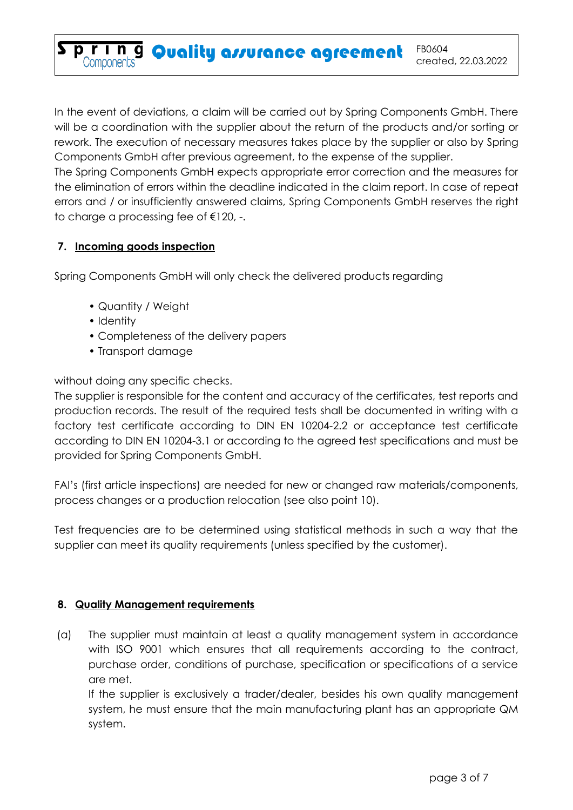**P. r. I. n.g. Quality assurance agreement** FB0604

In the event of deviations, a claim will be carried out by Spring Components GmbH. There will be a coordination with the supplier about the return of the products and/or sorting or rework. The execution of necessary measures takes place by the supplier or also by Spring Components GmbH after previous agreement, to the expense of the supplier.

The Spring Components GmbH expects appropriate error correction and the measures for the elimination of errors within the deadline indicated in the claim report. In case of repeat errors and / or insufficiently answered claims, Spring Components GmbH reserves the right to charge a processing fee of €120, -.

## **7. Incoming goods inspection**

Spring Components GmbH will only check the delivered products regarding

- Quantity / Weight
- Identity
- Completeness of the delivery papers
- Transport damage

without doing any specific checks.

The supplier is responsible for the content and accuracy of the certificates, test reports and production records. The result of the required tests shall be documented in writing with a factory test certificate according to DIN EN 10204-2.2 or acceptance test certificate according to DIN EN 10204-3.1 or according to the agreed test specifications and must be provided for Spring Components GmbH.

FAI's (first article inspections) are needed for new or changed raw materials/components, process changes or a production relocation (see also point 10).

Test frequencies are to be determined using statistical methods in such a way that the supplier can meet its quality requirements (unless specified by the customer).

# **8. Quality Management requirements**

(a) The supplier must maintain at least a quality management system in accordance with ISO 9001 which ensures that all requirements according to the contract, purchase order, conditions of purchase, specification or specifications of a service are met.

If the supplier is exclusively a trader/dealer, besides his own quality management system, he must ensure that the main manufacturing plant has an appropriate QM system.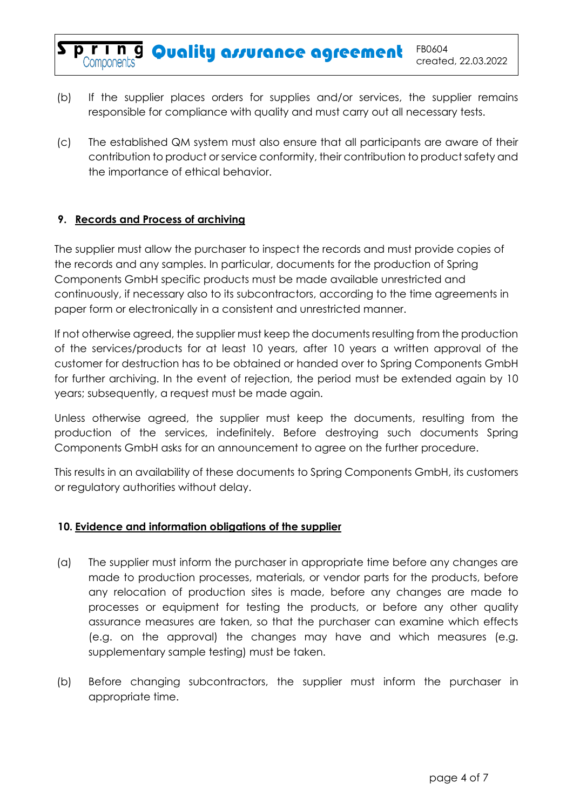(b) If the supplier places orders for supplies and/or services, the supplier remains responsible for compliance with quality and must carry out all necessary tests.

(c) The established QM system must also ensure that all participants are aware of their contribution to product or service conformity, their contribution to product safety and the importance of ethical behavior.

### **9. Records and Process of archiving**

The supplier must allow the purchaser to inspect the records and must provide copies of the records and any samples. In particular, documents for the production of Spring Components GmbH specific products must be made available unrestricted and continuously, if necessary also to its subcontractors, according to the time agreements in paper form or electronically in a consistent and unrestricted manner.

If not otherwise agreed, the supplier must keep the documents resulting from the production of the services/products for at least 10 years, after 10 years a written approval of the customer for destruction has to be obtained or handed over to Spring Components GmbH for further archiving. In the event of rejection, the period must be extended again by 10 years; subsequently, a request must be made again.

Unless otherwise agreed, the supplier must keep the documents, resulting from the production of the services, indefinitely. Before destroying such documents Spring Components GmbH asks for an announcement to agree on the further procedure.

This results in an availability of these documents to Spring Components GmbH, its customers or regulatory authorities without delay.

#### **10. Evidence and information obligations of the supplier**

- (a) The supplier must inform the purchaser in appropriate time before any changes are made to production processes, materials, or vendor parts for the products, before any relocation of production sites is made, before any changes are made to processes or equipment for testing the products, or before any other quality assurance measures are taken, so that the purchaser can examine which effects (e.g. on the approval) the changes may have and which measures (e.g. supplementary sample testing) must be taken.
- (b) Before changing subcontractors, the supplier must inform the purchaser in appropriate time.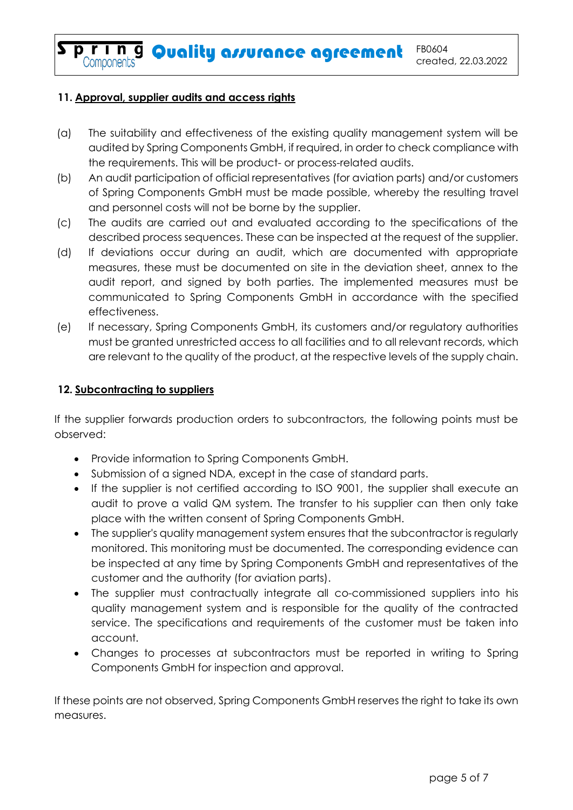**Spring Quality assurance agreement** FB0604

# **11. Approval, supplier audits and access rights**

- (a) The suitability and effectiveness of the existing quality management system will be audited by Spring Components GmbH, if required, in order to check compliance with the requirements. This will be product- or process-related audits.
- (b) An audit participation of official representatives (for aviation parts) and/or customers of Spring Components GmbH must be made possible, whereby the resulting travel and personnel costs will not be borne by the supplier.
- (c) The audits are carried out and evaluated according to the specifications of the described process sequences. These can be inspected at the request of the supplier.
- (d) If deviations occur during an audit, which are documented with appropriate measures, these must be documented on site in the deviation sheet, annex to the audit report, and signed by both parties. The implemented measures must be communicated to Spring Components GmbH in accordance with the specified effectiveness.
- (e) If necessary, Spring Components GmbH, its customers and/or regulatory authorities must be granted unrestricted access to all facilities and to all relevant records, which are relevant to the quality of the product, at the respective levels of the supply chain.

# **12. Subcontracting to suppliers**

If the supplier forwards production orders to subcontractors, the following points must be observed:

- Provide information to Spring Components GmbH.
- Submission of a signed NDA, except in the case of standard parts.
- If the supplier is not certified according to ISO 9001, the supplier shall execute an audit to prove a valid QM system. The transfer to his supplier can then only take place with the written consent of Spring Components GmbH.
- The supplier's quality management system ensures that the subcontractor is regularly monitored. This monitoring must be documented. The corresponding evidence can be inspected at any time by Spring Components GmbH and representatives of the customer and the authority (for aviation parts).
- The supplier must contractually integrate all co-commissioned suppliers into his quality management system and is responsible for the quality of the contracted service. The specifications and requirements of the customer must be taken into account.
- Changes to processes at subcontractors must be reported in writing to Spring Components GmbH for inspection and approval.

If these points are not observed, Spring Components GmbH reserves the right to take its own measures.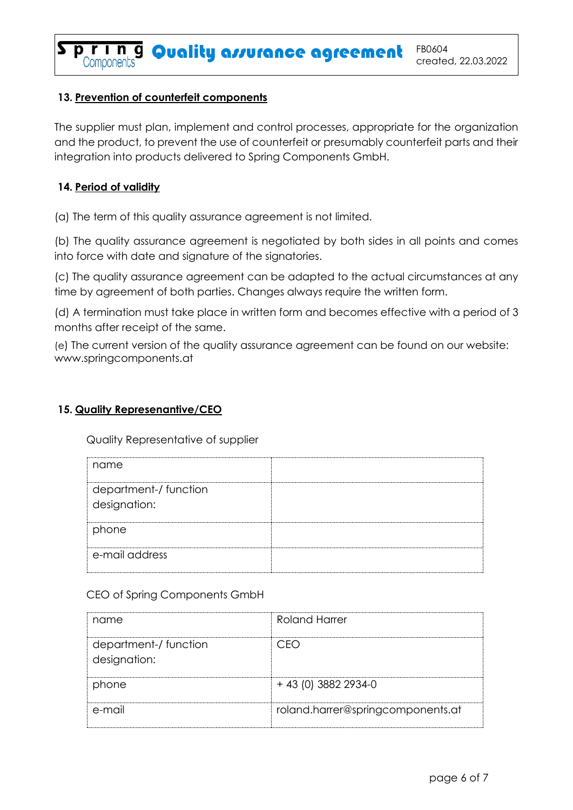**Spring Quality assurance agreement** FB0604

# **13. Prevention of counterfeit components**

The supplier must plan, implement and control processes, appropriate for the organization and the product, to prevent the use of counterfeit or presumably counterfeit parts and their integration into products delivered to Spring Components GmbH.

## **14. Period of validity**

(a) The term of this quality assurance agreement is not limited.

(b) The quality assurance agreement is negotiated by both sides in all points and comes into force with date and signature of the signatories.

(c) The quality assurance agreement can be adapted to the actual circumstances at any time by agreement of both parties. Changes always require the written form.

(d) A termination must take place in written form and becomes effective with a period of 3 months after receipt of the same.

(e) The current version of the quality assurance agreement can be found on our website: www.springcomponents.at

## **15. Quality Represenantive/CEO**

Quality Representative of supplier

| name                                  |  |
|---------------------------------------|--|
| department-/ function<br>designation: |  |
| phone                                 |  |
| e-mail address                        |  |

CEO of Spring Components GmbH

| name                                  | Roland Harrer                     |
|---------------------------------------|-----------------------------------|
| department-/ function<br>designation: | ` )⊣`                             |
| phone                                 | $+ 43$ (0) 3882 2934-0            |
| e-mail                                | roland.harrer@springcomponents.at |